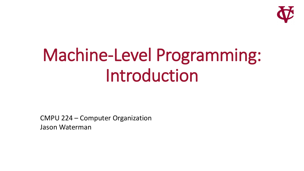

# Machine-Level Programming: Introduction

CMPU 224 – Computer Organization Jason Waterman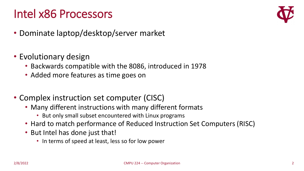# Intel x86 Processors



- Dominate laptop/desktop/server market
- Evolutionary design
	- Backwards compatible with the 8086, introduced in 1978
	- Added more features as time goes on
- Complex instruction set computer (CISC)
	- Many different instructions with many different formats
		- But only small subset encountered with Linux programs
	- Hard to match performance of Reduced Instruction Set Computers (RISC)
	- But Intel has done just that!
		- In terms of speed at least, less so for low power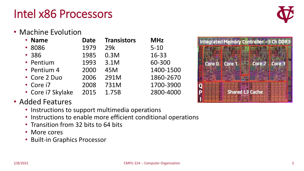# Intel x86 Processors



• Machine Evolution

| • Name            | <b>Date</b> | <b>Transistors</b> | <b>MHz</b> |
|-------------------|-------------|--------------------|------------|
| • 8086            | 1979        | 29k                | $5 - 10$   |
| • 386             | 1985        | 0.3M               | 16-33      |
| • Pentium         | 1993        | 3.1M               | 60-300     |
| • Pentium 4       | 2000        | 45M                | 1400-1500  |
| • Core 2 Duo      | 2006        | 291M               | 1860-2670  |
| • Core i7         | 2008        | 731M               | 1700-3900  |
| • Core i7 Skylake | 2015        | 1.75B              | 2800-4000  |

#### • Added Features

- Instructions to support multimedia operations
- Instructions to enable more efficient conditional operations
- Transition from 32 bits to 64 bits
- More cores
- Built-in Graphics Processor

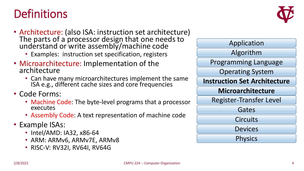### **Definitions**



- Architecture: (also ISA: instruction set architecture) The parts of a processor design that one needs to understand or write assembly/machine code
	- Examples: instruction set specification, registers
- Microarchitecture: Implementation of the architecture
	- Can have many microarchitectures implement the same ISA e.g., different cache sizes and core frequencies
- Code Forms:
	- Machine Code: The byte-level programs that a processor executes
	- Assembly Code: A text representation of machine code
- Example ISAs:
	- Intel/AMD: IA32, x86-64
	- ARM: ARMv6, ARMv7E, ARMv8
	- RISC-V: RV32I, RV64I, RV64G

| Application                         |  |  |
|-------------------------------------|--|--|
| Algorithm                           |  |  |
| <b>Programming Language</b>         |  |  |
| <b>Operating System</b>             |  |  |
| <b>Instruction Set Architecture</b> |  |  |
| <b>Microarchitecture</b>            |  |  |
| <b>Register-Transfer Level</b>      |  |  |
| Gates                               |  |  |
| <b>Circuits</b>                     |  |  |
| <b>Devices</b>                      |  |  |
| <b>Physics</b>                      |  |  |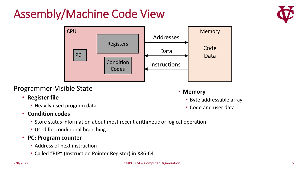# Assembly/Machine Code View





#### Programmer-Visible State

#### • **Register file**

• Heavily used program data

- **Memory**
	- Byte addressable array
	- Code and user data

#### • **Condition codes**

- Store status information about most recent arithmetic or logical operation
- Used for conditional branching

#### • **PC: Program counter**

- Address of next instruction
- Called "RIP" (Instruction Pointer Register) in X86-64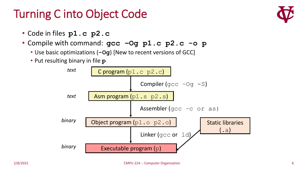# Turning C into Object Code

- Code in files **p1.c p2.c**
- Compile with command: **gcc –Og p1.c p2.c -o p**
	- Use basic optimizations (**-Og**) [New to recent versions of GCC]
	- Put resulting binary in file **p**



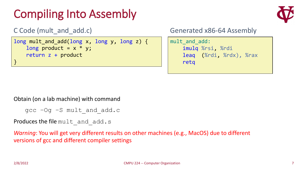# Compiling Into Assembly



```
C Code (mult and add.c)
```

```
long mult_and_add(long x, long y, long z) {
    long product = x * y;
    return z + product
}
```
Generated x86-64 Assembly

```
mult and add:
    imulq %rsi, %rdi
    leaq (%rdi, %rdx), %rax
    retq
```
Obtain (on a lab machine) with command

```
\text{qcc} –Og –S mult and add.c
```

```
Produces the file mult and add.s
```
*Warning*: You will get very different results on other machines (e.g., MacOS) due to different versions of gcc and different compiler settings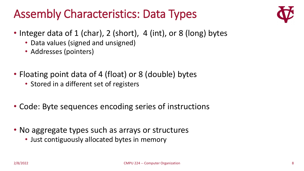# Assembly Characteristics: Data Types



- Integer data of 1 (char), 2 (short), 4 (int), or 8 (long) bytes
	- Data values (signed and unsigned)
	- Addresses (pointers)
- Floating point data of 4 (float) or 8 (double) bytes
	- Stored in a different set of registers
- Code: Byte sequences encoding series of instructions
- No aggregate types such as arrays or structures
	- Just contiguously allocated bytes in memory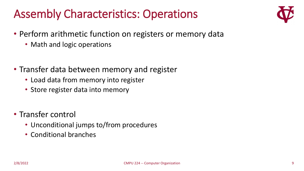# Assembly Characteristics: Operations



- Perform arithmetic function on registers or memory data
	- Math and logic operations
- Transfer data between memory and register
	- Load data from memory into register
	- Store register data into memory
- Transfer control
	- Unconditional jumps to/from procedures
	- Conditional branches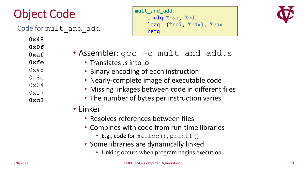# Object Code

Code for mult and add

**0x48 0x0f**

**0xaf**

**0xfe**

- $0x48$
- 0x8d
- $0 \times 04$
- 0x17
- **0xc3**

mult and add: imulq %rsi, %rdi leaq (%rdi, %rdx), %rax retq



- Assembler:  $\text{gcc}-\text{c}$  mult and add.s
	- Translates .s into .o
	- Binary encoding of each instruction
	- Nearly-complete image of executable code
	- Missing linkages between code in different files
	- The number of bytes per instruction varies
- Linker
	- Resolves references between files
	- Combines with code from run-time libraries
		- E.g., code for malloc(), printf()
	- Some libraries are dynamically linked
		- Linking occurs when program begins execution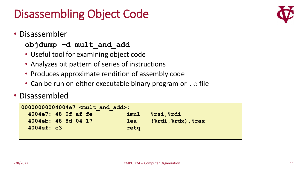# Disassembling Object Code

• Disassembler

#### **objdump –d mult\_and\_add**

- Useful tool for examining object code
- Analyzes bit pattern of series of instructions
- Produces approximate rendition of assembly code
- Can be run on either executable binary program or  $\cdot \circ$  file

#### • Disassembled

| $ 00000000004004e7$ <mult add="" and="">:</mult> |      |                                              |  |
|--------------------------------------------------|------|----------------------------------------------|--|
| 4004e7: 48 Of af fe                              | imul | <b>&amp;rsi, &amp;rdi</b>                    |  |
| 4004eb: 48 8d 04 17                              | lea  | $(\text{3rdi}, \text{3rdx})$ , $\text{3rax}$ |  |
| 4004ef: c3                                       | retg |                                              |  |
|                                                  |      |                                              |  |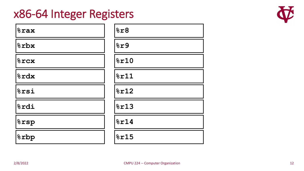#### x86-64 Integer Registers

| <b><i><u><b></b>srax</u></i></b> | 8r8  |
|----------------------------------|------|
| 8rbx                             | 8r9  |
| $8$ rcx                          | 8r10 |
| <b>&amp;rdx</b>                  | 8r11 |
| $8$ rsi                          | 8r12 |
| $ \text{\texttt{\char'42}}$      | 8r13 |
| $\sqrt{2}$ rsp                   | 8r14 |
| <b><i>forb</i></b>               | 8r15 |

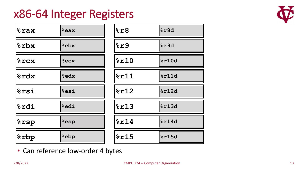#### x86-64 Integer Registers



| $8$ rax                | $8$ eax         | 8r8  | %r8d  |
|------------------------|-----------------|------|-------|
| %rbx                   | <b>&amp;ebx</b> | 8r9  | %r9d  |
| 8rcx                   | $8$ ecx         | 8r10 | 8r10d |
| &rdx                   | %edx            | 8r11 | 8r11d |
| $8$ rsi                | %esi            | 8r12 | 8r12d |
| %rdi                   | %edi            | 8r13 | 8r13d |
| $\frac{1}{6}$ rsp      | <b>&amp;esp</b> | 8r14 | 8r14d |
| <i><b>&amp;rbp</b></i> | <b>&amp;ebp</b> | 8r15 | 8r15d |

• Can reference low-order 4 bytes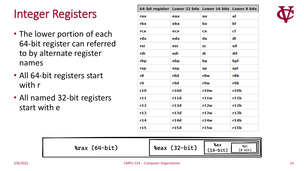# Integer Registers

- The lower portion of each 64-bit register can referred to by alternate register names
- All 64-bit registers start with r
- All named 32-bit registers start with e

| 64-bit register Lower 32 bits Lower 16 bits Lower 8 bits |      |      |      |
|----------------------------------------------------------|------|------|------|
| rax                                                      | eax  | aх   | al   |
| rbx                                                      | ebx  | bx   | ы    |
| rcx                                                      | ecx  | CX   | cl   |
| rdx                                                      | edx  | dx   | dl   |
| rsi                                                      | esi  | si   | sil  |
| rdi                                                      | edi  | di   | dil  |
| rbp                                                      | ebp  | bp   | bpl  |
| rsp                                                      | esp  | sp   | spl  |
| r8                                                       | r8d  | r8w  | r8b  |
| r9                                                       | r9d  | r9w  | r9b  |
| r10                                                      | r10d | r10w | r10b |
| r11                                                      | r11d | r11w | r11b |
| r12                                                      | r12d | r12w | r12b |
| r13                                                      | r13d | r13w | r13b |
| r14                                                      | r14d | r14w | r14b |
| r15                                                      | r15d | r15w | r15b |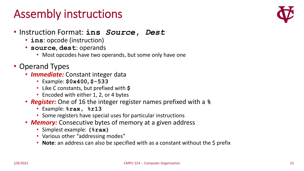### Assembly instructions



- Instruction Format: **ins** *Source***,** *Dest*
	- **ins**: opcode (instruction)
	- **source**, **dest**: operands
		- Most opcodes have two operands, but some only have one
- Operand Types
	- *Immediate:* Constant integer data
		- Example: **\$0x400, \$-533**
		- Like C constants, but prefixed with **\$**
		- Encoded with either 1, 2, or 4 bytes
	- *Register:* One of 16 the integer register names prefixed with a **%**
		- Example: **%rax, %r13**
		- Some registers have special uses for particular instructions
	- *Memory:* Consecutive bytes of memory at a given address
		- Simplest example: **(%rax)**
		- Various other "addressing modes"
		- **Note**: an address can also be specified with as a constant without the \$ prefix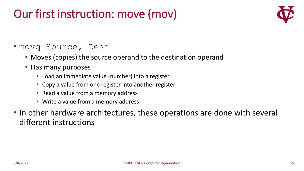# Our first instruction: move (mov)



#### • movq Source, Dest

- Moves (copies) the source operand to the destination operand
- Has many purposes
	- Load an immediate value (number) into a register
	- Copy a value from one register into another register
	- Read a value from a memory address
	- Write a value from a memory address
- In other hardware architectures, these operations are done with several different instructions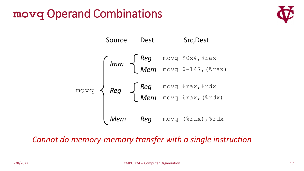### **movq** Operand Combinations





#### *Cannot do memory-memory transfer with a single instruction*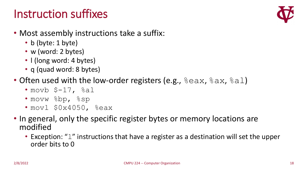### Instruction suffixes



- Most assembly instructions take a suffix:
	- b (byte: 1 byte)
	- w (word: 2 bytes)
	- I (long word: 4 bytes)
	- q (quad word: 8 bytes)
- Often used with the low-order registers (e.g.,  $\frac{1}{6}$ eax,  $\frac{2}{6}$ ax,  $\frac{2}{6}$ al)
	- movb  $$-17$ ,  $%$ al
	- movw %bp, %sp
	- movl \$0x4050, %eax
- In general, only the specific register bytes or memory locations are modified
	- Exception: " $1$ " instructions that have a register as a destination will set the upper order bits to 0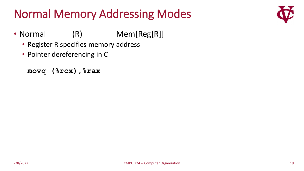# Normal Memory Addressing Modes



- Normal (R) Mem[Reg[R]]
	- Register R specifies memory address
	- Pointer dereferencing in C

```
movq (%rcx),%rax
```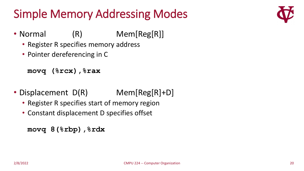# Simple Memory Addressing Modes



- Normal (R) Mem[Reg[R]]
	- Register R specifies memory address
	- Pointer dereferencing in C

```
movq (%rcx),%rax
```
- Displacement D(R) Mem[Reg[R]+D]
	- Register R specifies start of memory region
	- Constant displacement D specifies offset

```
movq 8(%rbp),%rdx
```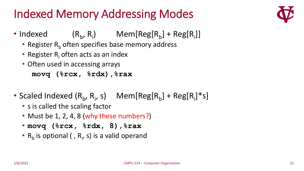# Indexed Memory Addressing Modes



- $\bullet$  Indexed ,  $R_i$ ) Mem[Reg[ $R_b$ ] + Reg[ $R_i$ ]]
	- Register  $R_b$  often specifies base memory address
	- Register  $R_i$  often acts as an index
	- Often used in accessing arrays **movq (%rcx, %rdx),%rax**
- Scaled Indexed  $(R_b, R_i, s)$  Mem[Reg[ $R_b$ ] + Reg[ $R_i$ ]\*s]
	- s is called the scaling factor
	- Must be 1, 2, 4, 8 (why these numbers?)
	- **movq (%rcx, %rdx, 8),%rax**
	- $R_b$  is optional (,  $R_i$ , s) is a valid operand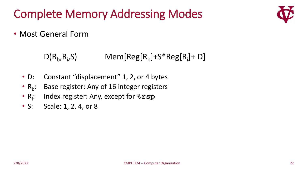Complete Memory Addressing Modes



• Most General Form

 $D(R_b, R_i)$ ,S) Mem[Reg[R<sub>b</sub>]+S\*Reg[R<sub>i</sub>]+ D]

- D: Constant "displacement" 1, 2, or 4 bytes
- $R_h$ : : Base register: Any of 16 integer registers
- $R_i$ : : Index register: Any, except for **%rsp**
- S: Scale: 1, 2, 4, or 8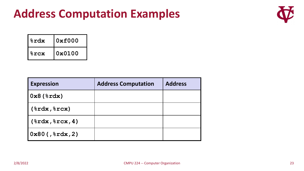

| %rdx    | 0xf000 |
|---------|--------|
| $8$ rcx | 0x0100 |

| <b>Expression</b>                   | <b>Address Computation</b> | <b>Address</b> |
|-------------------------------------|----------------------------|----------------|
| $\vert 0x8 \, (\text{8xdx}) \vert$  |                            |                |
| $(\$rdx,$ $\Srcx)$                  |                            |                |
| $(*rdx,$ $rcx, 4)$                  |                            |                |
| $\vert 0x80$ (, $\text{grad}x$ , 2) |                            |                |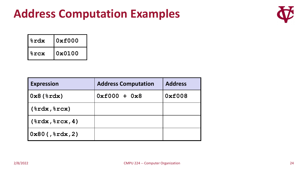

| %rdx    | 0xf000 |
|---------|--------|
| $8$ rcx | 0x0100 |

| <b>Expression</b>      | <b>Address Computation</b> | <b>Address</b> |
|------------------------|----------------------------|----------------|
| $0x8$ ( $\text{xdx}$ ) | $0xE000 + 0x8$             | 0xf008         |
| $(\$rdx,$ $\Srcx)$     |                            |                |
| $(\$rdx,$ $srcx, 4)$   |                            |                |
| $0x80$ (, $8xdx$ , 2)  |                            |                |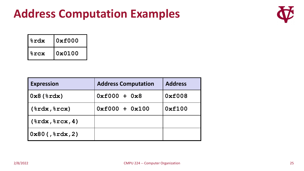

| %rdx    | 0xf000 |
|---------|--------|
| $8$ rcx | 0x0100 |

| <b>Expression</b>     | <b>Address Computation</b> | <b>Address</b> |
|-----------------------|----------------------------|----------------|
| $0x8$ ( $xdx$ )       | $0xf000 + 0x8$             | 0xf008         |
| $(\$rdx,$ $\Srcx)$    | $0xf000 + 0x100$           | 0xf100         |
| $(\$rdx,$ $srcx, 4)$  |                            |                |
| $0x80$ (, $8xdx$ , 2) |                            |                |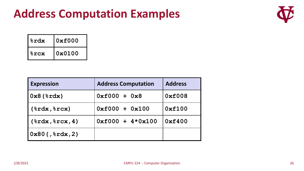

| %rdx    | 0xf000 |
|---------|--------|
| $8$ rcx | 0x0100 |

| <b>Expression</b>                    | <b>Address Computation</b> | <b>Address</b> |
|--------------------------------------|----------------------------|----------------|
| $\vert 0x8 \, (\text{grad} x) \vert$ | $0xE000 + 0x8$             | 0xf008         |
| $(\$rdx,$ $\Srcx)$                   | $0xf000 + 0x100$           | 0xf100         |
| $(\$rdx,$ $\Srcx, 4)$                | $0xf000 + 4*0x100$         | 0xf400         |
| $(0x80($ , $8xdx, 2)$                |                            |                |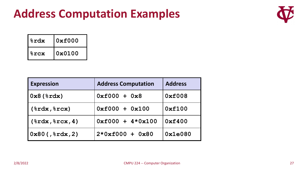

| %rdx    | 0xf000 |
|---------|--------|
| $8$ rcx | 0x0100 |

| <b>Expression</b>      | <b>Address Computation</b> | <b>Address</b> |
|------------------------|----------------------------|----------------|
| $0x8$ ( $\text{xdx}$ ) | $0xf000 + 0x8$             | 0xf008         |
| $(\$rdx,$ $\Srcx)$     | $0xf000 + 0x100$           | 0xf100         |
| $(\$rdx,$ $srcx, 4)$   | $0xf000 + 4*0x100$         | 0xf400         |
| $0x80$ (, $8xdx$ , 2)  | $2*0xf000 + 0x80$          | 0x1e080        |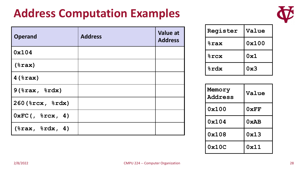

| <b>Operand</b>            | <b>Address</b> | <b>Value at</b><br><b>Address</b> |
|---------------------------|----------------|-----------------------------------|
| 0x104                     |                |                                   |
| $(\$ax)$                  |                |                                   |
| $4$ ( $8$ rax)            |                |                                   |
| $9$ (%rax, %rdx)          |                |                                   |
| 260 (%rcx, %rdx)          |                |                                   |
| $0$ xFC $($ , $8$ rcx, 4) |                |                                   |
| $(\$rax, %rdx, 4)$        |                |                                   |

| Register               | Value |
|------------------------|-------|
| <b><i>&amp;rax</i></b> | 0x100 |
| $8$ rcx                | 0x1   |
| <b>&amp;rdx</b>        | 0x3   |

| Memory<br><b>Address</b> | Value |
|--------------------------|-------|
| 0x100                    | 0xFF  |
| 0x104                    | 0xAB  |
| 0x108                    | 0x13  |
| 0x10C                    | 0x11  |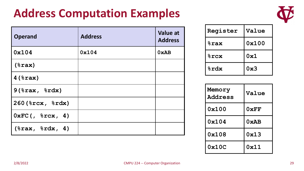

| <b>Operand</b>       | <b>Address</b> | <b>Value at</b><br><b>Address</b> |
|----------------------|----------------|-----------------------------------|
| 0x104                | 0x104          | 0xAB                              |
| $(\$ax)$             |                |                                   |
| $4$ ( $8$ rax)       |                |                                   |
| $9$ (%rax, %rdx)     |                |                                   |
| 260 (%rcx, %rdx)     |                |                                   |
| $0xFC($ , $8rcx, 4)$ |                |                                   |
| $(\$rax, %rdx, 4)$   |                |                                   |

| Register               | Value |
|------------------------|-------|
| <b><i>&amp;rax</i></b> | 0x100 |
| $8$ rcx                | 0x1   |
| %rdx                   | 0x3   |

| Memory<br><b>Address</b> | Value |
|--------------------------|-------|
| 0x100                    | 0xFF  |
| 0x104                    | 0xAB  |
| 0x108                    | 0x13  |
| 0x10C                    | 0x11  |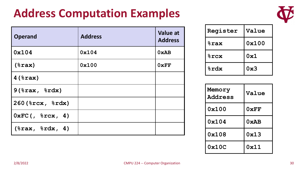

| <b>Operand</b>                       | <b>Address</b> | <b>Value at</b><br><b>Address</b> |
|--------------------------------------|----------------|-----------------------------------|
| 0x104                                | 0x104          | 0xAB                              |
| $(\$ax)$                             | 0x100          | 0xFF                              |
| $4$ ( $\text{grav}$ )                |                |                                   |
| $9$ (%rax, %rdx)                     |                |                                   |
| 260 (%rcx, %rdx)                     |                |                                   |
| $0 \times FC$ (, $8 \text{rcx}$ , 4) |                |                                   |
| $(*rax, ctx, 4)$                     |                |                                   |

| Register               | Value |
|------------------------|-------|
| <b><i>&amp;rax</i></b> | 0x100 |
| $8$ rcx                | 0x1   |
| %rdx                   | 0x3   |

| Memory<br><b>Address</b> | Value |
|--------------------------|-------|
| 0x100                    | 0xFF  |
| 0x104                    | 0xAB  |
| 0x108                    | 0x13  |
| 0x10C                    | 0x11  |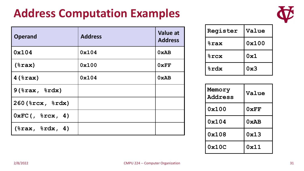

| <b>Operand</b>                       | <b>Address</b> | <b>Value at</b><br><b>Address</b> |
|--------------------------------------|----------------|-----------------------------------|
| 0x104                                | 0x104          | 0xAB                              |
| $(*rax)$                             | 0x100          | 0xFF                              |
| $4$ ( $\text{grav}$ )                | 0x104          | 0xAB                              |
| $9$ ( $\text{grav}, \text{8}$ rdx)   |                |                                   |
| 260 (%rcx, %rdx)                     |                |                                   |
| $0 \times FC$ (, $8 \text{rcx}$ , 4) |                |                                   |
| $(*rax, *rdx, 4)$                    |                |                                   |

| Register        | Value |
|-----------------|-------|
| <b>&amp;rax</b> | 0x100 |
| <b>&amp;rcx</b> | 0x1   |
| <b>&amp;rdx</b> | 0x3   |

| Memory<br><b>Address</b> | Value |
|--------------------------|-------|
| 0x100                    | 0xFF  |
| 0x104                    | 0xAB  |
| 0x108                    | 0x13  |
| 0x10C                    | 0x11  |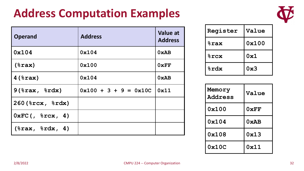

| <b>Operand</b>                       | <b>Address</b>          | Value at<br><b>Address</b> |
|--------------------------------------|-------------------------|----------------------------|
| 0x104                                | 0x104                   | 0xAB                       |
| $(\$ax)$                             | 0x100                   | 0xFF                       |
| $4$ ( $\text{grav}$ )                | 0x104                   | 0xAB                       |
| $9$ (%rax, %rdx)                     | $0x100 + 3 + 9 = 0x10C$ | 0x11                       |
| $260$ ( $8$ rcx, $8$ rdx)            |                         |                            |
| $0 \times FC$ (, $8 \text{rcx}$ , 4) |                         |                            |
| $(*rax, *rdx, 4)$                    |                         |                            |

| Register        | Value |
|-----------------|-------|
| <b>&amp;rax</b> | 0x100 |
| <b>&amp;rcx</b> | 0x1   |
| %rdx            | 0x3   |

| Memory<br><b>Address</b> | Value |
|--------------------------|-------|
| 0x100                    | 0xFF  |
| 0x104                    | 0xAB  |
| 0x108                    | 0x13  |
| 0x10C                    | 0x11  |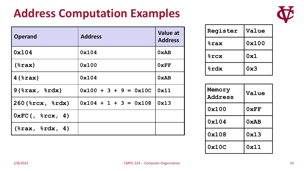

| <b>Operand</b>                       | <b>Address</b>          | <b>Value at</b><br><b>Address</b> |
|--------------------------------------|-------------------------|-----------------------------------|
| 0x104                                | 0x104                   | 0xAB                              |
| $(\$ax)$                             | 0x100                   | 0xFF                              |
| $4$ ( $8$ rax)                       | 0x104                   | 0xAB                              |
| $9$ ( $8$ rax, $8$ rdx)              | $0x100 + 3 + 9 = 0x10C$ | 0x11                              |
| $260$ ( $8$ rcx, $8$ rdx)            | $0x104 + 1 + 3 = 0x108$ | 0x13                              |
| $0 \times FC$ (, $8 \text{rcx}$ , 4) |                         |                                   |
| $(\$rax, %rdx, 4)$                   |                         |                                   |

| Register               | Value |
|------------------------|-------|
| <b><i>&amp;rax</i></b> | 0x100 |
| $8$ rcx                | 0x1   |
| %rdx                   | 0x3   |

| Memory<br><b>Address</b> | Value |
|--------------------------|-------|
| 0x100                    | 0xFF  |
| 0x104                    | 0xAB  |
| 0x108                    | 0x13  |
| 0x10C                    | 0x11  |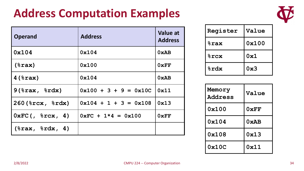

| <b>Operand</b>                       | <b>Address</b>                     | Value at<br><b>Address</b> |
|--------------------------------------|------------------------------------|----------------------------|
| 0x104                                | 0x104                              | 0xAB                       |
| $(\$ax)$                             | 0x100                              | 0xFF                       |
| $4$ ( $8$ rax)                       | 0x104                              | 0xAB                       |
| $9$ ( $8$ rax, $8$ rdx)              | $0x100 + 3 + 9 = 0x10C$            | 0x11                       |
| $260$ ( $8$ rcx, $8$ rdx)            | $0x104 + 1 + 3 = 0x108$            | 0x13                       |
| $0 \times FC$ (, $8 \text{rcx}$ , 4) | $0 \times FC + 1*4 = 0 \times 100$ | 0xFF                       |
| $(*rax, crdx, 4)$                    |                                    |                            |

| Register        | Value |
|-----------------|-------|
| <b>%rax</b>     | 0x100 |
| $8$ rcx         | 0x1   |
| <b>&amp;rdx</b> | 0x3   |

| Memory<br><b>Address</b> | Value |
|--------------------------|-------|
| 0x100                    | 0xFF  |
| 0x104                    | 0xAB  |
| 0x108                    | 0x13  |
| 0x10C                    | 0x11  |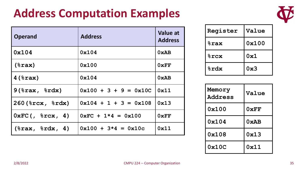

| <b>Operand</b>                            | <b>Address</b>                            | Value at<br><b>Address</b> |
|-------------------------------------------|-------------------------------------------|----------------------------|
| 0x104                                     | 0x104                                     | 0xAB                       |
| $(\$ax)$                                  | 0x100                                     | 0xFF                       |
| $4$ ( $8$ rax)                            | 0x104                                     | 0xAB                       |
| $9$ (%rax, %rdx)                          | $0x100 + 3 + 9 = 0x10C$                   | 0x11                       |
| $260$ ( $8$ rcx, $8$ rdx)                 | $0x104 + 1 + 3 = 0x108$                   | 0x13                       |
| $0 \times FC$ (, $\text{src} \times$ , 4) | $0 \times FC + 1 \times 4 = 0 \times 100$ | 0xFF                       |
| $(\$rax, %rdx, 4)$                        | $0x100 + 3*4 = 0x10c$                     | 0x11                       |

| Register               | Value |
|------------------------|-------|
| <b><i>&amp;rax</i></b> | 0x100 |
| $8$ rcx                | 0x1   |
| %rdx                   | 0x3   |

| Memory<br><b>Address</b> | Value |
|--------------------------|-------|
| 0x100                    | 0xFF  |
| 0x104                    | 0xAB  |
| 0x108                    | 0x13  |
| 0x10C                    | 0x11  |